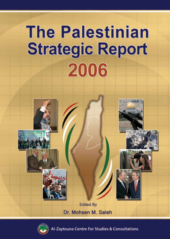# **The Palestinian Strategic Report** 2006





Zaytouna Centre For Studies & Consultations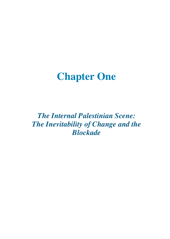# **Chapter One**

*The Internal Palestinian Scene: The Inevitability of Change and the Blockade*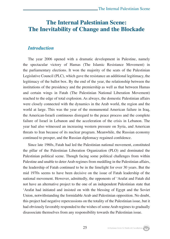### **The Internal Palestinian Scene: The Inevitability of Change and the Blockade**

### *Introduction*

The year 2006 opened with a dramatic development in Palestine, namely the spectacular victory of Hamas (The Islamic Resistance Movement) in the parliamentary elections. It won the majority of the seats of the Palestinian Legislative Council (PLC), which gave the resistance an additional legitimacy, the legitimacy of the ballot box. By the end of the year, the relationship between the institutions of the presidency and the premiership as well as that between Hamas and certain wings in Fatah (The Palestinian National Liberation Movement) reached to the edge of total explosion. As always, the domestic Palestinian affairs were closely connected with the dynamics in the Arab world, the region and the world at large. This was the year of the monumental American failure in Iraq, the American-Israeli continuous disregard to the peace process and the complete failure of Israel in Lebanon and the acceleration of the crisis in Lebanon. The year had also witnessed an increasing western pressure on Syria, and American threats to Iran because of its nuclear program. Meanwhile, the Russian economy continued to prosper, and the Russian diplomacy regained confidence.

Since late 1960s, Fatah had led the Palestinian national movement, constituted the pillar of the Palestinian Liberation Organization (PLO) and dominated the Palestinian political scene. Though facing some political challenges from within Palestine and unable to deter Arab regimes from meddling in the Palestinian affairs, the leadership of Fatah continued to be in the limelight for over 30 years. But the mid 1970s seems to have been decisive on the issue of Fatah leadership of the national movement. However, admittedly, the opponents of 'Arafat and Fatah did not have an alternative project to the one of an independent Palestinian state that 'Arafat had initiated and insisted on with the blessing of Egypt and the Soviet Union, notwithstanding the formidable Arab and Palestinian opposition. No doubt, this project had negative repercussions on the totality of the Palestinian issue, but it had obviously favorably responded to the wishes of some Arab regimes to gradually disassociate themselves from any responsibility towards the Palestinian issue.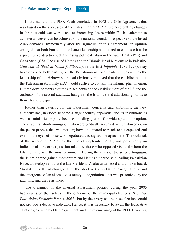In the name of the PLO, Fatah concluded in 1993 the Oslo Agreement that was based on the successes of the Palestinian *Intifadah,* the accelerating changes in the post-cold war world, and an increasing desire within Fatah leadership to achieve whatever can be achieved of the national agenda, irrespective of the broad Arab demands. Immediately after the signature of this agreement, an opinion emerged that both Fatah and the Israeli leadership had rushed to conclude it to be a preemptive step to check the rising political Islam in the West Bank (WB) and Gaza Strip (GS). The rise of Hamas and the Islamic Jihad Movement in Palestine (*Harakat al-Jihad al-Islami fi Filastin*), in the first *Inifadah* (1987-1993), may have obsessed both parties, but the Palestinian national leadership, as well as the leadership of the Hebrew state, had obviously believed that the establishment of the Palestinian Authority (PA) would suffice to contain the Islamic phenomenon. But the developments that took place between the establishment of the PA and the outbreak of the second *Intifadah* had given the Islamic trend additional grounds to flourish and prosper.

Rather than catering for the Palestinian concerns and ambitions, the new authority had, in effect, become a huge security apparatus, and its institutions as well as ministries rapidly became breeding ground for wide spread corruption. The structural shortcomings of Oslo were gradually revealed, which slowed down the peace process that was not, anyhow, anticipated to reach to its expected end even in the eyes of those who negotiated and signed the agreement. The outbreak of the second *Intifadah*, by the end of September 2000, was presumably an indicator of the correct position taken by those who opposed Oslo, of whom the Islamic trend was the most prominent. During the years of the second *Intifadah*, the Islamic trend gained momentum and Hamas emerged as a leading Palestinian force, a development that the late President 'Arafat understood and took on board. 'Arafat himself had changed after the abortive Camp David 2 negotiations, and the emergence of an alternative strategy to negotiations that was patronized by the *Intifadah* and the resistance.

The dynamics of the internal Palestinian politics during the year 2005 had expressed themselves in the outcome of the municipal elections (See: *The Palestinian Strategic Report, 2005*), but by their very nature these elections could not provide a decisive indicator. Hence, it was necessary to await the legislative elections, as fixed by Oslo Agreement, and the restructuring of the PLO. However,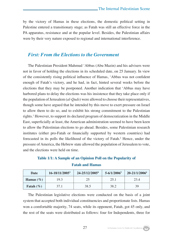by the victory of Hamas in these elections, the domestic political setting in Palestine entered a transitionary stage; as Fatah was still an effective force in the PA apparatus, resistance and at the popular level. Besides, the Palestinian affairs were by their very nature exposed to regional and international interference.

#### *First: From the Elections to the Government*

The Palestinian President Mahmud 'Abbas (Abu Mazin) and his advisers were not in favor of holding the elections in its scheduled date, on 25 January. In view of the consistently rising political influence of Hamas, 'Abbas was not confident enough of Fatah's victory, and he had, in fact, hinted several weeks before the elections that they may be postponed. Another indication that 'Abbas may have harbored plans to delay the elections was his insistence that they take place only if the population of Jerusalem (*al-Quds*) were allowed to choose their representatives, though some have argued that he intended by this move to exert pressure on Israel to allow them to do so, and to exhibit his strong commitment to the Palestinian rights.1 However, to support its declared program of democratization in the Middle East, superficially at least, the American administration seemed to have been keen to allow the Palestinian elections to go ahead. Besides, some Palestinian research institutes (either pro-Fatah or financially supported by western countries) had forecasted in its polls the likelihood of the victory of Fatah.<sup>2</sup> Hence, under the pressure of America, the Hebrew state allowed the population of Jerusalem to vote, and the elections were held on time.

### **Table 1/1: A Sample of an Opinion Poll on the Popularity of Fatah and Hamas**

| Date          | 16-18/11/2005 <sup>3</sup> | 24-25/12/2005 <sup>4</sup> | $5 - 6/1/2006^5$ | 20-21/1/2006 |
|---------------|----------------------------|----------------------------|------------------|--------------|
| Hamas $(\% )$ | 19.3                       | 25                         | 25.1             | 23.4         |
| Fatah $(\% )$ | 37.1                       | 38.5                       | 38.2             | 39           |

The Palestinian legislative elections were conducted on the basis of a joint system that accepted both individual constituencies and proportionate lists. Hamas won a comfortable majority, 74 seats, while its opponent, Fatah, got 45 only, and the rest of the seats were distributed as follows: four for Independents, three for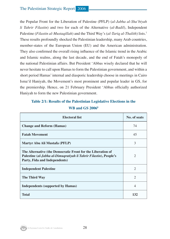the Popular Front for the Liberation of Palestine (PFLP) (*al-Jabha al-Sha'biyah li Tahrir Filastin*) and two for each of the Alternative (*al-Badil*), Independent Palestine (*Filastin al-Mustaqillah*) and the Third Way's (*al-Tariq al-Thalith*) lists.7 These results profoundly shocked the Palestinian leadership, many Arab countries, member-states of the European Union (EU) and the American administration. They also confirmed the overall rising influence of the Islamic trend in the Arabic and Islamic realms, along the last decade, and the end of Fatah's monopoly of the national Palestinian affairs. But President 'Abbas wisely declared that he will never hesitate to call upon Hamas to form the Palestinian government, and within a short period Hamas' internal and diasporic leadership choose in meetings in Cairo Isma'il Haniyah, the Movement's most prominent and popular leader in GS, for the premiership. Hence, on 21 February President 'Abbas officially authorized Haniyah to form the new Palestinian government.

### **Table 2/1: Results of the Palestinian Legislative Elections in the WB and GS 20068**

| <b>Electoral list</b>                                                                                                                                             | No. of seats                |
|-------------------------------------------------------------------------------------------------------------------------------------------------------------------|-----------------------------|
| <b>Change and Reform (Hamas)</b>                                                                                                                                  | 74                          |
| <b>Fatah Movement</b>                                                                                                                                             | 45                          |
| Martyr Abu Ali Mustafa (PFLP)                                                                                                                                     | 3                           |
| The Alternative (the Democratic Front for the Liberation of<br>Palestine (al-Jabha al-Dimuqratiyah li Tahrir Filastin), People's<br>Party, Fida and Independents) | $\mathcal{D}_{\mathcal{L}}$ |
| <b>Independent Palestine</b>                                                                                                                                      | $\mathcal{D}_{\mathcal{L}}$ |
| The Third Way                                                                                                                                                     | $\mathfrak{D}$              |
| Independents (supported by Hamas)                                                                                                                                 | 4                           |
| <b>Total</b>                                                                                                                                                      | 132                         |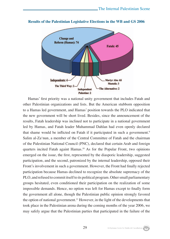

#### **Results of the Palestinian Legislative Elections in the WB and GS 2006**

Hamas' first priority was a national unity government that includes Fatah and other Palestinian organizations and lists. But the American stubborn opposition to a Hamas led government, and Hamas' position towards the PLO indicated that the new government will be short lived. Besides, since the announcement of the results, Fatah leadership was inclined not to participate in a national government led by Hamas, and Fatah leader Muhammad Dahlan had even openly declared that shame would be inflicted on Fatah if it participated in such a government.<sup>9</sup> Salim al-Za'nun, a member of the Central Committee of Fatah and the chairman of the Palestinian National Council (PNC), declared that certain Arab and foreign quarters incited Fatah againt Hamas.10 As for the Popular Front, two opinions emerged on the issue, the first, represented by the diasporic leadership, suggested participation, and the second, patronized by the internal leadership, opposed their Front's involvement in such a government. However, the Front had finally rejected participation because Hamas declined to recognize the absolute supremacy of the PLO, and refused to commit itself to its political program. Other small parliamentary groups hesitated, even conditioned their participation on the realization of some impossible demands. Hence, no option was left for Hamas except to finally form the government all alone, though the Palestinian public opinion strongly favored the option of national government.<sup>11</sup> However, in the light of the developments that took place in the Palestinian arena during the coming months of the year 2006, we may safely argue that the Palestinian parties that participated in the failure of the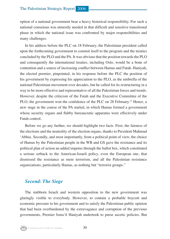option of a national government bear a heavy historical responsibility. For such a national consensus was utmostly needed in that difficult and sensitive transitional phase in which the national issue was confronted by major responsibilities and many challenges.

In his address before the PLC on 18 February, the Palestinian president called upon the forthcoming government to commit itself to the program and the treaties concluded by the PLO and the PA. It was obvious that the position towards the PLO and consequently the international treaties, including Oslo, would be a bone of contention and a source of increasing conflict between Hamas and Fatah. Haniyah, the elected premier, pinpointed, in his response before the PLC the position of his government by expressing his appreciation to the PLO, as the umbrella of the national Palestinian movement over decades, but he called for its restructuring in a way to be more effective and representative of all the Palestinian forces and trends. However, despite the criticism of the Fatah and the Executive Committee of the PLO, the government won the confidence of the PLC on 28 February.12 Hence, a new stage in the course of the PA started, in which Hamas formed a government whose security organs and flabby bureaucratic apparatus were effectively under Fatah control.

Before we go any further, we should highlight two facts. First, the fairness of the elections and the neutrality of the election organs, thanks to President Mahmud 'Abbas. Secondly, and most importantly, from a political point of view, the choice of Hamas by the Palestinian people in the WB and GS gave the resistance and its political plan of action an added impetus through the ballot box, which constituted a serious setback to the American-Israeli policy, even the European one, that dismissed the resistance as mere terrorism, and all the Palestinian resistance organizations, particularly Hamas, as nothing but "terrorist groups."

### *Second: The Siege*

The stubborn Israeli and western opposition to the new government was glaringly visible to everybody. However, to contain a probable boycott and economic pressure to his government and to satisfy the Palestinian public opinion that had been overburdened by the extravagance and corruption of the previous governments, Premier Isma'il Haniyah undertook to purse ascetic policies. But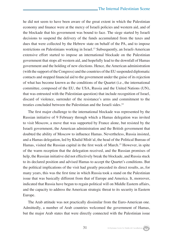he did not seem to have been aware of the great extent in which the Palestinian economy and finance were at the mercy of Israeli policies and western aid, and of the blockade that his government was bound to face. The siege started by Israeli decisions to suspend the delivery of the funds accumulated from the taxes and dues that were collected by the Hebrew state on behalf of the PA, and to impose restrictions on Palestinians working in Israel.<sup>13</sup> Subsequently, an Israeli-American extensive effort started to impose an international blockade on the Palestinian government that stops all western aid, and hopefully lead to the downfall of Hamas government and the holding of new elections. Hence, the American administration (with the support of the Congress) and the countries of the EU suspended diplomatic contacts and stopped financial aid to the government under the guise of its rejection of what has become known as the conditions of the Quartet (i.e., the international committee, composed of the EU, the USA, Russia and the United Nations (UN), that was entrusted with the Palestinian question) that include recognition of Israel, discard of violence, surrender of the resistance's arms and commitment to the treaties concluded between the Palestinian and the Israeli sides.<sup>14</sup>

The first major challenge to the international blockade was represented by the Russian initiative of 9 February through which a Hamas delegation was invited to visit Moscow, a move that was supported by France alone, but resisted by the Israeli government, the American administration and the British government that doubted the ability of Moscow to influence Hamas. Nevertheless, Russia insisted, and a Hamas delegation, led by Khalid Mish'al, the head of the Political Bureau of Hamas, visited the Russian capital in the first week of March.15 However, in spite of the warm reception that the delegation received, and the Russian promises of help, the Russian initiative did not effectively break the blockade, and Russia stuck to its declared position and advised Hamas to accept the Quartet's conditions. But the political implications of the visit had greatly preceded its direct results, as, for many years, this was the first time in which Russia took a stand on the Palestinian issue that was basically different from that of Europe and America. It, moreover, indicated that Russia have begun to regain political will on Middle Eastern affairs, and the capacity to address the American strategic threat to its security in Eastern Europe.

The Arab attitude was not practically dissimilar from the Euro-American one. Admittedly, a number of Arab countries welcomed the government of Hamas, but the major Arab states that were directly connected with the Palestinian issue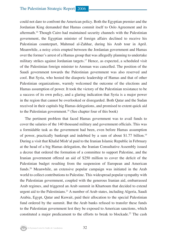could not dare to confront the American policy. Both the Egyptian premier and the Jordanian King demanded that Hamas commit itself to Oslo Agreement and its aftermath.16 Though Cairo had maintained security channels with the Palestinian government, the Egyptian minister of foreign affairs declined to receive his Palestinian counterpart, Mahmud al-Zahhar, during his Arab tour in April. Meanwhile, a noisy crisis erupted between the Jordanian government and Hamas over the former's arrest of a Hamas group that was allegedly planning to undertake military strikes against Jordanian targets.<sup>17</sup> Hence, as expected, a scheduled visit of the Palestinian foreign minister to Amman was cancelled. The position of the Saudi government towards the Palestinian government was also reserved and cool. But Syria, who hosted the diasporic leadership of Hamas and that of other Palestinian organizations, warmly welcomed the outcome of the elections and Hamas assumption of power. It took the victory of the Palestinian resistance to be a success of its own policy, and a glaring indication that Syria is a major power in the region that cannot be overlooked or disregarded. Both Qatar and the Sudan received in their capitals big Hamas delegations, and promised to extent quick aid to the Palestinian government.18 (See chapter four of this book)

The pertinent problem that faced Hamas government was to avail funds to cover the salaries of the 140 thousand military and government officials. This was a formidable task as the government had been, even before Hamas assumption of power, practically bankrupt and indebted by a sum of about \$1.77 billion.19 During a visit that Khalid Mish'al paid to the Iranian Islamic Republic in February at the head of a big Hamas delegation, the Iranian Consultative Assembly issued a decree that ordered the formation of a committee to support Palestine, and the Iranian government offered an aid of \$250 million to cover the deficit of the Palestinian budget resulting from the suspension of European and American funds.20 Meanwhile, an extensive popular campaign was initiated in the Arab world to collect contributions to Palestine. This widespread popular sympathy with the Palestinian government, coupled with the generous Iranian aid, embarrassed Arab regimes, and triggered an Arab summit in Khartoum that decided to extend urgent aid to the Palestinians.21 A number of Arab states, including Algeria, Saudi Arabia, Egypt, Qatar and Kuwait, paid their allocation to the special Palestinian fund ordered by the summit. But the Arab banks refused to transfer these funds to the Palestinian government lest they be exposed to American sanctions, which constituted a major predicament to the efforts to break to blockade.<sup>22</sup> The cash

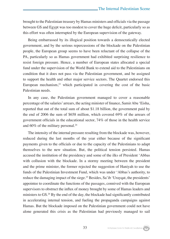brought to the Palestinian treasury by Hamas ministers and officials via the passage between GS and Egypt was too modest to cover the huge deficit, particularly so as this effort was often interrupted by the European supervision of the gateway.

Being embarrassed by its illogical position towards a democratically elected government, and by the serious repercussions of the blockade on the Palestinian people, the European group seems to have been reluctant of the collapse of the PA, particularly so as Hamas government had exhibited surprising resilience to resist foreign pressure. Hence, a number of European states allocated a special fund under the supervision of the World Bank to extend aid to the Palestinians on condition that it does not pass via the Palestinian government, and be assigned to support the health and other major service sectors. The Quartet endorsed this European mechanism, $2<sup>3</sup>$  which participated in covering the cost of the basic Palestinian needs.

In any case, the Palestinian government managed to cover a reasonable percentage of the salaries' arrears, the acting minister of finance, Samir Abu 'Eisha, reported that out of the total sum of about \$1.18 billion, the government paid by the end of 2006 the sum of \$658 million, which covered 69% of the arrears of government officials in the educational sector, 74% of those in the health service and 60% of the military personal.24

The intensity of the internal pressure resulting from the blockade was, however, reduced during the last months of the year either because of the significant payments given to the officials or due to the capacity of the Palestinians to adapt themselves to the new situation. But, the political tension persisted. Hamas accused the institution of the presidency and some of the ilks of President 'Abbas with collusion with the blockade. In a stormy meeting between the president and the prime minister, the former rejected the suggestion of Haniyah to use the funds of the Palestinian Investment Fund, which was under 'Abbas's authority, to reduce the damaging impact of the siege.<sup>25</sup> Besides, Sa'ib 'Urayqat, the presidents' appointee to coordinate the functions of the passages, connived with the European supervisors to obstruct the influx of money brought by some of Hamas leaders and ministers to GS.<sup>26</sup> By the end of the day, the blockade had significantly contributed in accelerating internal tension, and fueling the propaganda campaigns against Hamas. But the blockade imposed on the Palestinian government could not have alone generated this crisis as the Palestinian had previously managed to sail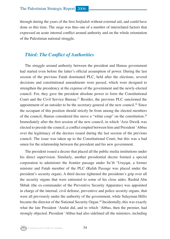through during the years of the first *Intifadah* without external aid, and could have done so this time. The siege was thus one of a number of interrelated factors that expressed an acute internal conflict around authority and on the whole orientation of the Palestinian national struggle.

### *Third: The Conflict of Authorities*

The struggle around authority between the president and Hamas government had started even before the latter's official assumption of power. During the last session of the previous Fatah dominated PLC, held after the elections, several decisions and constitutional amendments were passed, which were designed to strengthen the presidency at the expense of the government and the newly-elected council. For, they gave the president absolute power to form the Constitutional Court and the Civil Service Bureau.<sup>27</sup> Besides, the previous PLC sanctioned the appointment of an outsider to be the secretary-general of the new council.<sup>28</sup> Since the occupant of this position should strictly be from among the elected members of the council, Hamas considered this move a "white coup" on the constitution.29 Immediately after the first session of the new council, in which 'Aziz Dweik was elected to preside the council, a conflict erupted between him and President 'Abbas over the legitimacy of the decrees issued during the last session of the previous council. The issue was taken up to the Constitutional Court, but this was a bad omen for the relationship between the president and his new government.

The president issued a decree that placed all the public media institutions under his direct supervision. Similarly, another presidential decree formed a special corporation to administer the frontier passage under Sa'ib 'Urayqat, a former minister and Fatah member of the PLC (Rafah Passage was placed under the president's security organ). A third decree tightened the presidents's grip over all the security organs that were entrusted to some of his close aides. Rashid Abu Shbak (the ex-commander of the Preventive Security Apparatus) was appointed in charge of the internal, civil defense, preventive and police security organs, that were all previously under the authority of the government, while Sulayman Hillis became the director of the National Security Organ.<sup>30</sup> Incidentally, this was exactly what the late President 'Arafat did, and to which 'Abbas, then the premier, had strongly objected. President 'Abbas had also sidelined all the ministers, including

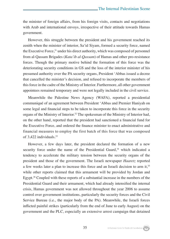the minister of foreign affairs, from his foreign visits, contacts and negotiations with Arab and international envoys, irrespective of their attitude towards Hamas government.

However, this struggle between the president and his government reached its zenith when the minister of interior, Sa'id Siyam, formed a security force, named the Executive Force,<sup>31</sup> under his direct authority, which was composed of personnel from al-Qassam Brigades (*Kata'ib al-Qassam*) of Hamas and other pro-resistance forces. Though the primary motive behind the formation of this force was the deteriorating security conditions in GS and the loss of the interior minister of his presumed authority over the PA security organs, President 'Abbas issued a decree that cancelled the minister's decision, and refused to incorporate the members of this force in the cadre of the Ministry of Interior. Furthermore, all other government appointees remained temporary and were not legally included in the civil service.

Meanwhile the Palestine News Agency (WAFA), reported a presidential communiqué of an agreement between President 'Abbas and Premier Haniyah on some legal and financial steps to be taken to incorporate this force in the security organs of the Ministry of Interior.32 The spokesman of the Ministry of Interior had, on the other hand, reported that the president had sanctioned a financial fund for the Executive Force, and ordered the finance minister to enact administrative and financial measures to employ the first batch of this force that was composed of 3,422 individuals.33

However, a few days later, the president declared the formation of a new security force under the name of the Presidential Guard,<sup>34</sup> which indicated a tendency to accelerate the military tension between the security organs of the president and those of the government. The Israeli newspaper *Haaretz* reported a few weeks later a plan to increase this force and an Israeli decision to arm it,35 while other reports claimed that this armament will be provided by Jordan and Egypt.<sup>36</sup> Coupled with these reports of a substantial increase in the numbers of the Presidential Guard and their armament, which had already intensified the internal crisis, Hamas government was not allowed throughout the year 2006 to assume control over government institutions, particularly the security forces and the Civil Service Bureau (i.e., the major body of the PA). Meanwhile, the Israeli forces inflicted painful strikes (particularly from the end of June to early August) on the government and the PLC, especially an extensive arrest campaign that detained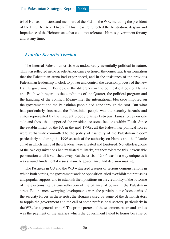64 of Hamas ministers and members of the PLC in the WB, including the president of the PLC Dr. 'Aziz Dweik.37 This measure reflected the frustration, despair and impatience of the Hebrew state that could not tolerate a Hamas government for any and at any time.

### *Fourth: Security Tension*

The internal Palestinian crisis was undoubtedly essentially political in nature. This was reflected in the Israeli-American rejection of the democratic transformation that the Palestinian arena had experienced, and in the insistence of the previous Palestinian leadership to click to power and control the decision process of the new Hamas government. Besides, is the difference in the political outlook of Hamas and Fatah with regard to the conditions of the Quartet, the political program and the handling of the conflict. Meanwhile, the international blockade imposed on the government and the Palestinian people had gone through the roof. But what had particularly frustrated the Palestinian people was the security hazards and chaos represented by the frequent bloody clashes between Hamas forces on one side and those that supported the president or some factions within Fatah. Since the establishment of the PA in the mid 1990s, all the Palestinian political forces were verbatimly committed to the policy of "sanctity of the Palestinian blood" particularly so during the 1996 assault of the authority on Hamas and the Islamic Jihad in which many of their leaders were arrested and tourtured. Nonetheless, none of the two organizations had retaliated militarly, but they tolerated this inexcusable persecution until it vanished away. But the crisis of 2006 was in a way unique as it was around fundamental issues, namely governance and decision making.

The PA areas in GS and the WB witnessed a series of serious demonstrations in which both parties, the government and the opposition, tried to exhibit their muscles and popular support, and to establish their positions on the credibility of the outcome of the elections, i.e., a true reflection of the balance of power in the Palestinian street. But the most worrying developments were the participation of some units of the security forces in these riots, the slogans raised by some of the demonstrators to topple the government and the call of some professional sectors, particularly in the WB, for a general strike.<sup>38</sup> The prime pretext of these demonstrators and strikes was the payment of the salaries which the government failed to honor because of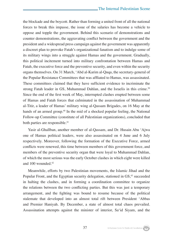the blockade and the boycott. Rather than forming a united front of all the national forces to break this impasse, the issue of the salaries has become a vehicle to oppose and topple the government. Behind this scenario of demonstrations and counter demonstrations, the aggravating conflict between the government and the president and a widespread press campaign against the government was apparently a discreet plan to provoke Fatah's organizational fanatism and to indulge some of its military wings into a struggle against Hamas and the government. Gradually, this political incitement turned into military confrontation between Hamas and Fatah, the executive force and the preventive security, and even within the security organs themselves. On 31 March, 'Abd al-Karim al-Quqa, the secretary-general of the Popular Resistance Committees that was affliated to Hamas, was assassinated. These committees claimed that they have sufficient evidence to incriminate the strong Fatah leader in GS, Muhammad Dahlan, and the Israelis in this crime.<sup>39</sup> Since the end of the first week of May, interrupted clashes erupted between some of Hamas and Fatah forces that culminated in the assassination of Muhammad al-Titir, a leader of Hamas' military wing al-Qassam Brigades, on 16 May at the hands of an armed group.<sup>40</sup> In the mid of a shocked popular feeling, the National Follow-up Committee (constitute of all Palestinian organizations), concluded that both parties are responsible.<sup>41</sup>

Yasir al-Ghallban, another member of al-Qassam, and Dr. Husain Abu 'Ajwa one of Hamas political leaders, were also assassinated on 4 June and 6 July respectively. Moreover, following the formation of the Executive Force, armed conflicts were renewed, this time between members of this government force, and members of the preventive security organ that were loyal to Muhammad Dahlan, of which the most serious was the early October clashes in which eight were killed and 100 wounded.42

Meanwhile, efforts by two Palestinian movements, the Islamic Jihad and the Popular Front, and the Egyptian security delegation, stationed in GS,<sup>43</sup> succeeded in halting the clashes, and in forming a coordination committee to organize the relations between the two conflicting parties. But this was just a temporary arrangement, and the fighting was bound to resume because of the political stalemate that developed into an almost total rift between President 'Abbas and Premier Haniyah. By December, a state of almost total chaos prevailed. Assassination attempts against the minister of interior, Sa'id Siyam, and the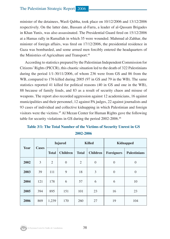minister of the detainees, Wasfi Qabha, took place on 10/12/2006 and 13/12/2006 respectively. On the latter date, Bassam al-Farra, a leader of al-Qassam Brigades in Khan Yunis, was also assassinated. The Presidential Guard fired on 15/12/2006 at a Hamas rally in Ramallah in which 35 were wounded. Mahmud al-Zahhar, the minister of foreign affairs, was fired on 17/12/2006, the presidential residence in Gaza was bombarded, and some armed men forcibly entered the headquarters of the Ministries of Agriculture and Transport.<sup>44</sup>

According to statistics prepared by the Palestinian Independent Commission for Citizens' Rights (PICCR), this chaotic situation led to the death of 322 Palestinians during the period 1/1-30/11/2006, of whom 236 were from GS and 86 from the WB, compared to 176 killed during 2005 (97 in GS and 79 in the WB). The same statistics reported 41 killed for political reasons (40 in GS and one in the WB), 88 because of family feuds, and 83 as a result of security chaos and misuse of weapons. The report also recorded aggression against 12 academicians, 16 against municipalities and their personnel, 12 against PA judges, 22 against journalists and 93 cases of individual and collective kidnapping in which Palestinian and foreign visitors were the victims.45 Al Mezan Center for Human Rights gave the following table for security violations in GS during the period 2002-2006.46

## **Table 3/1: The Total Number of the Victims of Security Unrest in GS**

| Year | Cases | <b>Injured</b> |                 | <b>Killed</b>  |                 | <b>Kidnapped</b>  |                     |
|------|-------|----------------|-----------------|----------------|-----------------|-------------------|---------------------|
|      |       | <b>Total</b>   | <b>Children</b> | <b>Total</b>   | <b>Children</b> | <b>Foreigners</b> | <b>Palestinians</b> |
| 2002 | 3     | $\overline{2}$ | $\overline{0}$  | $\overline{2}$ | $\overline{0}$  | $\mathbf{0}$      | $\theta$            |
| 2003 | 39    | 111            | 9               | 18             | 3               | $\overline{0}$    | $\theta$            |
| 2004 | 121   | 178            | 6               | 57             | 6               | 6                 | 10                  |
| 2005 | 394   | 895            | 151             | 101            | 23              | 16                | 23                  |
| 2006 | 869   | 1,239          | 170             | 260            | 27              | 19                | 104                 |

**2002-2006**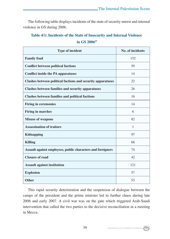The following table displays incidents of the state of security unrest and internal violence in GS during 2006.

### **Table 4/1: Incidents of the State of Insecurity and Internal Violence in GS 200647**

| <b>Type of incident</b>                                            | No. of incidents |
|--------------------------------------------------------------------|------------------|
| <b>Family feud</b>                                                 | 152              |
| <b>Conflict between political factions</b>                         | 59               |
| <b>Conflict inside the PA apparatuses</b>                          | 14               |
| <b>Clashes between political factions and security apparatuses</b> | 22               |
| <b>Clashes between families and security apparatuses</b>           | 26               |
| <b>Clashes between families and political factions</b>             | 16               |
| <b>Firing in ceremonies</b>                                        | 14               |
| <b>Firing in marches</b>                                           | 6                |
| <b>Misuse of weapons</b>                                           | 82               |
| <b>Assassination of traitors</b>                                   | $\mathbf{1}$     |
| <b>Kidnapping</b>                                                  | 97               |
| <b>Killing</b>                                                     | 66               |
| Assault against employees, public characters and foreigners        | 74               |
| <b>Closure of road</b>                                             | 42               |
| <b>Assault against institution</b>                                 | 121              |
| <b>Explosion</b>                                                   | 57               |
| <b>Other</b>                                                       | 53               |

This rapid security deterioration and the suspension of dialogue between the camps of the president and the prime minister led to further chaos during late 2006 and early 2007. A civil war was on the gate which triggered Arab-Saudi intervention that called the two parties to the decisive reconciliation in a meeting in Mecca.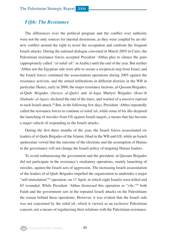### *Fifth: The Resistance*

The differences over the political program and the conflict over authority were not the only sources for internal dissension, as they were coupled by an oldnew conflict around the right to resist the occupation and confront the frequent Israeli attacks. During the national dialogue convened in March 2005 in Cairo, the Palestinian resistance forces accepted President 'Abbas plea to silence the guns (appropriately called *"al-tahdi'ah"* in Arabic) until the end of the year. But neither 'Abbas nor the Egyptian side were able to secure a reciprocal step from Israel, and the Israeli forces continued the assassination operations during 2005 against the resistance activists, and the armed infiltrations in different districts in the WB in particular. Hence, early in 2006, the major resistance factions, al-Qassam Brigades, al-Quds Brigades (*Saraya al-Quds*) and al-Aqsa Martyrs Brigades (*Kata'ib Shuhada' al-Aqsa*), declared the end of the truce, and warned of a massive reprisal to each Israeli attack.48 But, in the following few days, President 'Abbas repeatedly called the resistance forces to continue *al-tahdi'ah*, while some of his ilks despised the launching of missiles from GS against Israeli targets, a means that has become a major vehicle of responding to the Israeli attacks.

During the first three months of the year, the Israeli forces assassinated six leaders of al-Quds Brigades of the Islamic Jihad in the WB and GS, while an Israeli spokesman vowed that the outcome of the elections and the assumption of Hamas to the governance will not change the Israeli policy of targeting Hamas leaders.

To avoid embarrassing the government and the president, al-Qassam Brigades did not participate in the resistance's retaliatory operations, mainly launching of missiles, against the Israeli acts of aggression. The increasing Israeli assassination of the leaders of al-Quds Brigades impelled the organization to undertake a major "self-immolation"49 operation, on 17 April, in which eight Israelis were killed and 65 wounded. While President 'Abbas dismissed this operation as "vile,"50 both Fatah and the government saw in the repeated Israeli attacks on the Palestinians the reason behind these operations. However, it was evident that the Israeli side was not concerned by the *tahdi'ah*, which it viewed as an exclusive Palestinian concern, not a means of regularizing their relations with the Palestinian resistance.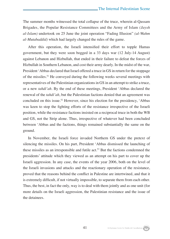The summer months witnessed the total collapse of the truce, wherein al-Qassam Brigades, the Popular Resistance Committees and the Army of Islam *(Jaysh al-Islam)* undertook on 25 June the joint operation "Fading Illusion" *(al-Wahm al-Mutabaddid)* which had largely changed the rules of the game.

After this operation, the Israeli intensified their effort to topple Hamas government, but they were soon bogged in a 33 days war (12 July-14 August) against Lebanon and Hizbullah, that ended in their failure to defeat the forces of Hizbullah in Southern Lebanon, and cost their army dearly. In the midst of the war, President 'Abbas declared that Israel offered a truce in GS in return for the stoppage of the missiles.51 He conveyed during the following weeks several meetings with representatives of the Palestinian organizations in GS in an attempt to strike a truce, or a new *tahdi'ah*. By the end of these meetings, President 'Abbas declared the renewal of the *tahdi'ah*, but the Palestinian factions denied that an agreement was concluded on this issue.<sup>52</sup> However, since his election for the presidency, 'Abbas was keen to stop the fighting efforts of the resistance irrespective of the Israeli position, while the resistance factions insisted on a reciprocal truce in both the WB and GS, not the Strip alone. Thus, irrespective of whatever had been concluded between 'Abbas and the factions, things remained substantially the same on the ground.

In November, the Israeli force invaded Northern GS under the pretext of silencing the missiles. On his part, President 'Abbas dismissed the launching of these missiles as an irresponsible and futile act.53 But the factions condemned the presidents' attitude which they viewed as an attempt on his part to cover up the Israeli aggression. In any case, the events of the year 2006, both on the level of the Israeli invasions and attacks and the reactionary operation of the resistance, proved that the reasons behind the conflict in Palestine are intertwined, and that it is extremely difficult, if not virtually impossible, to separate them from each other. Thus, the best, in fact the only, way is to deal with them jointly and as one unit (for more details on the Israeli aggression, the Palestinian resistance and the issue of the detainees.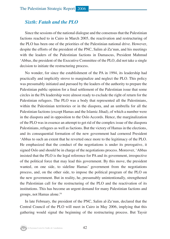### *Sixth: Fatah and the PLO*

Since the sessions of the national dialogue and the consensus that the Palestinian factions reached to in Cairo in March 2005, the reactivation and restructuring of the PLO has been one of the priorities of the Palestinian national drive. However, despite the efforts of the president of the PNC, Salim al-Za'nun, and his meetings with the leaders of the Palestinian factions in Damascus, President Mahmud 'Abbas, the president of the Executive Committee of the PLO, did not take a single decision to initiate the restructuring process.

No wonder, for since the establishment of the PA in 1994, its leadership had practically and implicitly strove to marginalize and neglect the PLO. This policy was presumably initiated and pursued by the leaders of the authority to prepare the Palestinian public opinion for a final settlement of the Palestinian issue that some circles in the PA leadership were almost ready to exclude the right of return for the Palestinian refugees. The PLO was a body that represented all the Palestinians, within the Palestinian territories or in the diaspora, and an umbrella for all the Palestinian factions (except Hamas and the Islamic Jihad), of which a number were in the diaspora and in opposition to the Oslo Accords. Hence, the marginalization of the PLO was in essence an attempt to get rid of the complex issue of the diaspora Palestinians, refugees as well as factions. But the victory of Hamas in the elections, and its consequential formation of the new government had cornered President 'Abbas to such an extent that he reverted once more to the legitimacy of the PLO. He emphasized that the conduct of the negotiations is under its prerogative, it signed Oslo and should be in charge of the negotiations process. Moreover, 'Abbas insisted that the PLO is the legal reference for PA and its government, irrespective of the political force that may lead this government. By this move, the president wanted, on one side, to sideline Hamas' government from the negotiations process, and, on the other side, to impose the political program of the PLO on the new government. But in reality, he, presumably unintentionally, strengthened the Palestinian call for the restructuring of the PLO and the reactivation of its institutions. This has become an urgent demand for many Palestinian factions and groups, not Hamas alone.<sup>54</sup>

In late February, the president of the PNC, Salim al-Za'nun, declared that the Central Council of the PLO will meet in Cairo in May 2006, implying that this gathering would signal the beginning of the restructuring process. But Taysir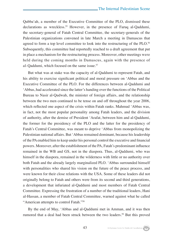Qubba'ah, a member of the Executive Committee of the PLO, dismissed these declarations as wreckless.<sup>55</sup> However, in the presence of Faruq al-Qaddumi, the secretary-general of Fatah Central Committee, the secretary-generals of the Palestinian organizations convened in late March a meeting in Damascus that agreed to form a top level committee to look into the restructuring of the PLO.<sup>56</sup> Subsequently, this committee had reportedly reached to a draft agreement that put in place a mechanism for the restructuring process. Moreover, other meetings were held during the coming months in Damascus, again with the presence of al-Qaddumi, which focused on the same issue.57

But what was at stake was the capacity of al-Qaddumi to represent Fatah, and his ability to exercise significant political and moral pressure on 'Abbas and the Executive Committee of the PLO. For the differences between al-Qaddumi and 'Abbas, had accelerated since the latter's handing over the functions of the Political Bureau to Nasir al-Qudwah, the minister of foreign affairs, and the relationship between the two men continued to be tense on and off throughout the year 2006, which reflected one aspect of the crisis within Fatah ranks. Mahmud 'Abbas was, in fact, not the most popular personality among Fatah leaders, and the division of authority, after the demise of President 'Arafat, between him and al-Qaddumi, the former for the presidency of the PLO and the latter for the presidency of Fatah's Central Committee, was meant to deprive 'Abbas from monopolizing the Palestinian national affairs. But 'Abbas remained dominant, because his leadership of the PA enabled him to keep under his personal control the executive and financial powers. Moreover, after the establishment of the PA, Fatah's predominant influence remained in the WB and GS, not in the diaspora. Thus, al-Qaddumi, who was himself in the diaspora, remained in the wilderness with little or no authority over both Fatah and the already largely marginalized PLO. 'Abbas surrounded himself with personalities who shared his vision on the future of the peace process, and were known for their close relations with the USA. Some of these leaders did not originally belong to Fatah and others were from its second and third generations, a development that infuriated al-Qaddumi and most members of Fatah Central Committee. Expressing the frustration of a number of the traditional leaders, Hani al-Hassan, a member of Fatah Central Committee, warned against what he called "American attempts to control Fatah."58

By the end of May, 'Abbas and al-Qaddumi met in Amman, and it was then rumored that a deal had been struck between the two leaders.59 But this proved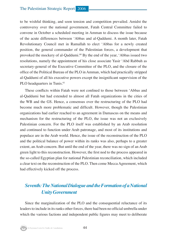to be wishful thinking, and soon tension and competition prevailed. Amidst the controversy over the national government, Fatah Central Committee failed to convene in October a scheduled meeting in Amman to discuss the issue because of the acute differences between 'Abbas and al-Qaddumi. A month later, Fatah Revolutionary Council met in Ramallah to elect 'Abbas for a newly created position, the general commander of the Palestinian forces, a development that provoked the mockery of al-Qaddumi.<sup>60</sup> By the end of the year, 'Abbas issued two resolutions, namely the appointment of his close associate Yasir 'Abd Rabbuh as secretary-general of the Executive Committee of the PLO, and the closure of the office of the Political Bureau of the PLO in Amman, which had practically stripped al-Qaddumi of all his executive powers except the insignificant supervision of the PLO headquarters in Tunis.<sup>61</sup>

These conflicts within Fatah were not confined to those between 'Abbas and al-Qaddumi but had extended to almost all Fatah organizations in the cities of the WB and the GS. Hence, a consensus over the restructuring of the PLO had become much more problematic and difficult. However, though the Palestinian organizations had earlier reached to an agreement in Damascus on the means and mechanism for the restructuring of the PLO, the issue was not an exclusively Palestinian concern. For the PLO itself was established by an Arab resolution and continued to function under Arab patronage, and most of its institutions and populace are in the Arab world. Hence, the issue of the reconstruction of the PLO and the political balance of power within its ranks was also, perhaps to a greater extent, an Arab concern. But until the end of the year, there was no sign of an Arab green light to this reconstruction. However, the first nod to the process appeared in the so-called Egyptian plan for national Palestinian reconciliation, which included a clear text on the reconstruction of the PLO. Then come Mecca Agreement, which had effectively kicked off the process.

### *Seventh: The National Dialogue and the Formation of a National Unity Government*

Since the marginalization of the PLO and the consequential reluctance of its leaders to include in its ranks other forces, there had been no official umbrella under which the various factions and independent public figures may meet to deliberate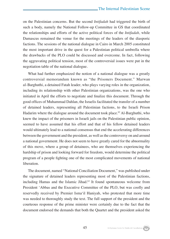on the Palestinian concerns. But the second *Intifadah* had triggered the birth of such a body, namely the National Follow-up Committee in GS that coordinated the relationships and efforts of the active political forces of the *Intifadah*, while Damascus remained the venue for the meetings of the leaders of the diasporic factions. The sessions of the national dialogue in Cairo in March 2005 constituted the most important drive in the quest for a Palestinian political umbrella where the drawbacks of the PLO could be discussed and overcome. In fact, following the aggravating political tension, most of the controversial issues were put in the negotiation table of the national dialogue.

What had further emphasized the notion of a national dialogue was a greatly controversial memorandum known as "the Prisoners Document." Marwan al-Barghuthi, a detained Fatah leader, who plays varying roles in the organization, including its relationship with other Palestinian organizations, was the one who initiated in April the efforts to negotiate and finalize this document. Through the good offices of Muhammad Dahlan, the Israelis facilitated the transfer of a number of detained leaders, representing all Palestinian factions, to the Israeli Prison Hadarim where the dialogue around the document took place.<sup>62</sup> Al-Barghuthi, who knew the impact of the prisoners in Israeli jails on the Palestinian public opinion, seemed to have assumed that his effort and that of his fellow detained leaders would ultimately lead to a national consensus that end the accelerating differences between the government and the president, as well as the controversy on and around a national government. He does not seem to have greatly cared for the abnormality of this move, where a group of detainees, who are themselves experiencing the hardship of prison and looking forward for freedom, would determine the political program of a people fighting one of the most complicated movements of national liberation.

The document, named "National Conciliation Document," was published under the signature of detained leaders representing most of the Palestinian factions, including Hamas and the Islamic Jihad.63 It found spontaneous welcome from President 'Abbas and the Executive Committee of the PLO, but was coolly and reservedly received by Premier Isma'il Haniyah, who protested that more time was needed to thoroughly study the text. The full support of the president and the courteous response of the prime minister were certainly due to the fact that the document endorsed the demands that both the Quartet and the president asked the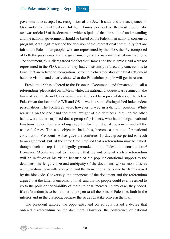government to accept, i.e., recognition of the Jewish state and the acceptance of Oslo and subsequent treaties. But, fom Hamas' perspective, the most problematic text was article 18 of the document, which stipulated that the national understanding and the national government should be based on the Palestinian national consensus program, Arab legitimacy and the decision of the international community that are fair to the Palestinian people, who are represented by the PLO, the PA, composed of both the presidency and the government, and the national and Islamic factions. The document, thus, disregarded the fact that Hamas and the Islamic Jihad were not represented in the PLO, and that they had consistently refused any concessions to Israel that are related to recognition, before the characteristics of a final settlement become visible, and clearly show what the Palestinian people will get in return.

President 'Abbas adhered to the Prisoners' Document, and threatened to call a referendum (plebiscite) on it. Meanwhile, the national dialogue was resumed in the town of Ramallah and Gaza, which was attended by representatives of the active Palestinian factions in the WB and GS as well as some distinguished independent personalities. The conferees were, however, placed in a difficult position. While realizing on the one hand the moral weight of the detainees, they, on the other hand, were rather surprised that a group of prisoners, who had no organizational functions, determines a working program for the national movement and all the national forces. The next objective had, thus, become a new text for national conciliation. President 'Abbas gave the conferees 10 days grace period to reach to an agreement, but, at the same time, implied that a referendum may be called, though such a step is not legally grounded in the Palestinian constitution.<sup>64</sup> However, 'Abbas seemed to have felt that the outcome of such a referendum will be in favor of his vision because of the popular emotional support to the detainees, the lengthy size and ambiguity of the document, whose most articles were, anyhow, generally accepted, and the tremendous economic hardship caused by the blockade. Conversely, the opponents of the document and the referendum argued that the latter is unconstitutional, and that no people could ever be asked to go to the polls on the viability of their national interests. In any case, they added, if a referendum is to be held let it be open to all the sons of Palestine, both in the interior and in the diaspora, because the issues at stake concern them all.

The president ignored the opponents, and on 26 July issued a decree that ordered a referendum on the document. However, the conference of national

Al-Zaytouna Centre for Studies & Consultations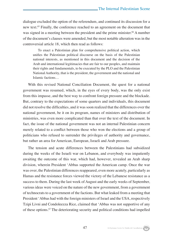dialogue excluded the option of the referendum, and continued its discussion for a new text.65 Finally, the conference reached to an agreement on the document that was signed in a meeting between the president and the prime minister.<sup>66</sup> A number of the document's clauses were amended, but the most notable alteration was in the controversial article 18, which then read as follows:

To enact a Palestinian plan for comprehensive political action, which unifies the Palestinian political discourse on the basis of the Palestinian national interests, as mentioned in this document and the decision of the Arab and international legitimacies that are fair to our peoples, and maintain their rights and fundamentals, to be executed by the PLO and the Palestinian National Authority, that is the president, the government and the national and Islamic factions…

With this revised National Conciliation Document, the quest for a national government was resumed, which, in the eyes of every body, was the only exist from this impasse, and the best way to confront foreign pressure and the blockade. But, contrary to the expectations of some quarters and individuals, this document did not resolve the difficulties, and it was soon realized that the differences over the national government, be it on its program, names of ministers and distribution of ministries, was even more complicated than that over the text of the document. In fact, the issue of the national government was not an internal Palestinian concern merely related to a conflict between those who won the elections and a group of politicians who refused to surrender the privileges of authority and governance, but rather an area for American, European, Israeli and Arab pressure.

The tension and acute differences between the Palestinians had subsidized during the weeks of the Israeli war on Lebanon, and everybody was impatiently awaiting the outcome of this war, which had, however, revealed an Arab sharp division, wherein President 'Abbas supported the American camp. Once the war was over, the Palestinian differences reappeared, even more acutely, particularly as Hamas and the resistance forces viewed the victory of the Lebanese resistance as a success to them. During the last week of August and the early weeks of September, various ideas were voiced on the nature of the new government, from a government of technocrats to a government of the factions. But what leaked from a meeting that President 'Abbas had with the foreign ministers of Israel and the USA, respectively Tzipi Livni and Condoleezza Rice, claimed that 'Abbas was not supportive of any of these options.67 The deteriorating security and political conditions had impelled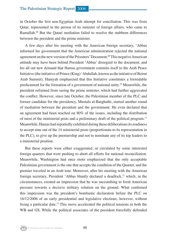in October the first non-Egyptian Arab attempt for conciliation. This was from Qatar, represented in the person of its minister of foreign affairs, who came to Ramallah.68 But the Qatari mediation failed to resolve the stubborn differences between the president and the prime minister.

A few days after his meeting with the American foreign secretary, 'Abbas informed his government that the American administration rejected the national agreement on the new version of the Prisoners' Document.69 This negative American attitude may have been behind President 'Abbas' disregard to the document, and his all out new demand that Hamas government commits itself to the Arab Peace Initiative (the initiative of Prince (King) 'Abdullah, known as the initiative of Beirut Arab Summit). Haniyah emphasized that this Initiative constitutes a formidable predicament for the formation of a government of national unity.<sup>70</sup> Meanwhile, the president refrained from seeing the prime minister, which had further aggravated the conflict. However, since late October, the Palestinian member of the PLC and former candidate for the presidency, Mustafa al-Barghuthi, started another round of mediation between the president and the government. He even declared that an agreement had been reached on 80% of the issues, including the distribution of most of the ministerial posts and a preliminary draft of the political program.71 Meanwhile, Hamas had reportedly exhibited during these deliberations its readiness to accept nine out of the 14 ministerial posts (proportionate to its representation in the PLC), to give up the premiership and not to nominate any of its top leaders to a ministerial position.

But these reports were either exaggerated, or circulated by some interested foreign quarters that were pushing to abort all efforts for national reconciliation. Meanwhile, Washington had once more emphasized that the only acceptable Palestinian government is the one that accepts the condition of the Quartet, and the premier traveled in an Arab tour. Moreover, after his meeting with the American foreign secretary, President 'Abbas bluntly declared a deadlock, $72$  which, in the circumstances, created an impression that he was succumbing to fresh American pressure towards a decisive military solution on the ground. What confirmed this impression was the president's bombastic declaration before the PLC on 16/12/2006 of an early presidential and legislative elections, however, without fixing a particular date.73 This move accelerated the political tensions in both the WB and GS. While the political associates of the president forcefully defended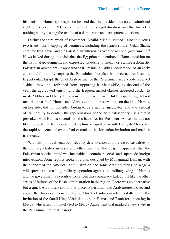his decision, Hamas spokesperson insisted that the president has no constitutional right to dissolve the PLC before completing its legal duration, and that his act is nothing but bypassing the results of a democratic and transparent elections.

During the third week of November, Khalid Mish'al visited Cairo to discuss two issues: the swapping of detainees, including the Israeli soldier Gilad Shalit, captured by Hamas, and the Palestinian differences over the national government.74 News leaked during this visit that the Egyptian side endorsed Hamas position on the national government, and expressed its desire to freshly crystallize a domestic Palestinian agreement. It appeared that President 'Abbas' declaration of an early election did not only surprise the Palestinians but also the concerned Arab states. In particular, Egypt, the chief Arab partner of the Palestinian issue, cooly received 'Abbas' move and refrained from supporting it. Meanwhile, by the end of the year, the aggravated tension and the frequent armed clashes triggered Jordan to invite 'Abbas and Haniyah for a meeting in Amman.<sup>75</sup> But this gathering did not materialize as both Hamas and 'Abbas exhibited reservations on the idea. Hamas, on her side, did not consider Jordan to be a neutral medicator, and was critical of its inability to contain the repercussions of the political-security crisis that it provoked with Hamas several months back. As for President 'Abbas, he did not like the Jordanian behavior of treating him on equal basis with Haniyah. Moreover, the rapid sequence of events had overtaken the Jordanian invitation and made it irrelevant.

With this political deadlock, security deterioration and increased casualties of the military clashes in Gaza and other towns of the Strip, it appeared that the Palestinian political mind was incapable to contain the crisis and supersede foreign intervention. Some reports spoke of a plan designed by Muhammad Dahlan, with the support of the American administration and some Arab countries, to wage a widespread and crushing military operation against the military wing of Hamas and the government's executive force. But this conspiracy failed, just like the other series of failures of the Bush administration in the region. There was no alternative but a quick Arab intervention that places Palestinian and Arab interests over and above the American considerations. This had subsequently crystallized in the invitation of the Saudi King 'Abdullah to both Hamas and Fatah for a meeting in Mecca, which had ultimately led to Mecca Agreement that marked a new stage in the Palestinian national struggle.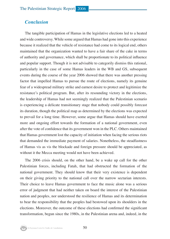### *Conclusion*

The tangible participation of Hamas in the legislative elections led to a heated and wide controversy. While some argued that Hamas had gone into this experience because it realized that the vehicle of resistance had come to its logical end, others maintained that the organization wanted to have a fair share of the cake in terms of authority and governance, which shall be proportionate to its political influence and popular support. Though it is not advisable to categorily dismiss this rational, particularly in the case of some Hamas leaders in the WB and GS, subsequent events during the course of the year 2006 showed that there was another pressing factor that impelled Hamas to pursue the route of elections, namely its genuine fear of a widespread military strike and earnest desire to protect and legitimize the resistance's political program. But, after its resounding victory in the elections, the leadership of Hamas had not seemingly realized that the Palestinian scenario is experiencing a delicate transitionary stage that nobody could possibly forecast its duration, though the political map as determined by the elections was expected to prevail for a long time. However, some argue that Hamas should have exerted more and ongoing effort towards the formation of a national government, even after the vote of confidence that its government won in the PLC. Others maintained that Hamas government lost the capacity of initiation when facing the serious riots that demanded the immediate payment of salaries. Nonetheless, the steadfastness of Hamas vis as vis the blockade and foreign pressure should be appreciated, as without it the Mecca meeting would not have been achieved.

The 2006 crisis should, on the other hand, be a wake up call for the other Palestinian forces, including Fatah, that had obstructed the formation of the national government. They should know that their very existence is dependent on their giving priority to the national call over the narrow sectarian interests. Their choice to leave Hamas government to face the music alone was a serious error of judgment that had neither taken on board the interest of the Palestinian nation and peoples, nor understood the resilience of Hamas and its determination to bear the responsibility that the peoples had bestowed upon its shoulders in the elections. Moreover, the outcome of these elections had confirmed the significant transformation, begun since the 1980s, in the Palestinian arena and, indeed, in the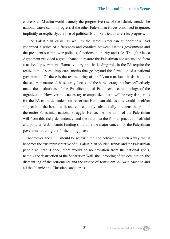entire Arab-Muslim world, namely the progressive rise of the Islamic trend. The national cause cannot progress if the other Palestinian forces continued to ignore, implicitly or explicitly, the rise of political Islam, or tried to arrest its progress.

The Palestinian crisis, as well as the Israeli-American stubbornness, had generated a series of differences and conflicts between Hamas government and the president's camp over policies, functions, authority and rule. Though Mecca Agreement provided a great chance to restore the Palestinian consensus and form a national government, Hamas victory and its leading role in the PA require the realization of some important merits that go beyond the formation of a national government. Of these is the restructuring of the PA on a national basis that ends the sectarian nature of the security forces and the bureaucracy that have effectively made the institutions of the PA offshoots of Fatah, even certain wings of the organization. However, it is necessary to emphasize that it will be very dangerous for the PA to be dependent on American-European aid, as this would in effect subject it to the Israeli will, and consequently substantially threatens the path of the entire Palestinian national struggle. Hence, the liberation of the Palestinian will from this risky dependency, and the return to the former practice of official and popular Arab-Islamic funding should be the major concern of the Palestinian government during the forthcoming phase.

Moreover, the PLO should be restructured and activated in such a way that it becomes the true representative of all Palestinian political trends and the Palestinian people at large. Hence, there would be no deviation from the national goals, namely the destruction of the Separation Wall, the uprooting of the occupation, the dismantling of the settlements and the rescue of Jerusalem, *al-Aqsa* Mosque and all the Islamic and Christian sanctuaries.

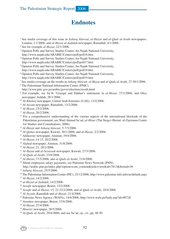### The Palestinian Strategic Report 2006

### **Endnotes**

- See media coverage of this issue in *Asharq Alawsat*, *al-Hayat* and *al-Quds al-Arabi* newspapers, London, 1/1/2006; and *al-Hayat al-Jadidah* newspaper, Ramallah, 4/1/2006.
- See for example *al-Hayat*, 22/1/2006.
- Opinion Polls and Survey Studies Center, An-Najah National University, http://www.najah.edu/ARABIC/Centers/poll/poll16.htm
- Opinion Polls and Survey Studies Center, An-Najah National University, http://www.najah.edu/ARABIC/Centers/poll/poll17.htm
- Opinion Polls and Survey Studies Center, An-Najah National University, http://www.najah.edu/ARABIC/Centers/poll/poll18.htm
- Opinion Polls and Survey Studies Center, An-Najah National University, http://www.najah.edu/ARABIC/Centers/poll/poll19.htm
- See media coverage on the results in *Asharq Alawsat, al-Hayat* and *al-Quds al-Arabi,* 27-30/1/2006.
- The Palestinian National Information Centre (PNIC),
- http://www.pnic.gov.ps/arabic/gover/elections/result.html
- For example, see Sa'ib 'Urayqat and Dahlan's statements in *al-Hayat*, 27/1/2006; and *Okaz* newspaper, Jeddah, 28/1/2006.
- *Al-Khaleej* newspaper, United Arab Emirates (UAE), 13/2/2006.
- *Al-Ayyam* newspaper, Ramallah, 13/2/2006.
- *Al-Hayat*, 23/2/2006.
- *Al-Hayat*, 20/2/2006.
- <sup>14</sup> For a comprehensive understanding of the various aspects of the international blockade of the Palestinian government, see Wael Ahmad Sa'ad, *al-Hisar* (The Siege) (Beirut: al-Zaytouna Centre for Studies and Consultations, 2006).
- *Al-Hayat* and *Asharq Alawsat*, 5-7/3/2006.
- *Al-Qabas* newspaper, Kuwait, 30/1/2006; and *al-Hayat*, 2/2/2006.
- *Addustour* newspaper, Amman, 19/4/2006.
- *Al-Hayat*, 14-15, 20/2/2006.
- *Alghad* newspaper, Amman, 31/8/2006.
- *Al-Hayat*, 21, 28/2/2006.
- *Al-Hayat* and *al-Seyassah* newspaper, Kuwait, 27/3/2006.
- *Al-Quds al-Arabi*, 23/8/2006.
- *Al-Hayat*, 17/5/2006; and *al-Quds al-Arabi*, 21/6/2006.
- <sup>24</sup> About employees salary payments, see Palestine News Network (PNN), http://arabic.pnn.ps/index.php?option=com\_content&task=view&id=7813&Itemid=36
- *Asharq Alawsat*, 25/5/2006.
- The Palestinian Information Center (PIC), 23/12/2006, http://www.palestine-info.info/ar/default.aspx
- *Al-Hayat*, 14/2/2006.
- *al-Hayat al-Jadidah*, 14/2/2006.
- *Assafir* newspaper, Beirut, 15/2/2006.
- *Assafir* and *al-Hayat*, 15, 22-23/2/2006; and *al-Quds al-Arabi*, 10/4/2006.
- *Al-Ayyam*, Ramallah and *al-Hayat*, 21/4/2006.
- Palestine News Agency (WAFA), 14/6/2006, http://www.wafa.ps/body.asp?id=90728
- *Annahar* newspaper, Beirut, 15/6/2006.
- *Al-Hayat*, 27/4/2006.
- *Haaretz* newspaper, 28/5/2006.
- *Al-Quds al-Arabi*, 29/4/2006; and see Sa'ad, *op. cit.*, pp. 48-50.

Al-Zaytouna Centre for Studies & Consultations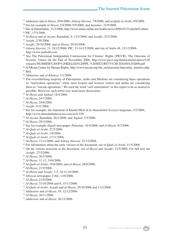- *Addustour* and *al-Hayat*, 29/6/2006; *Asharq Alawsat*, 7/8/2006; and *al-Quds al-Arabi*, 9/8/2006.
- 38 See for example *al-Hayat*, 2/6/2006-5/9/2006; and *Annahar*, 22/9/2006.
- Site of IslamOnline, 31/3/2006, http://www.islam-online.net/Arabic/news/2006-03/31/article02.shtml PIC, 17/5/2006.
- *Al-Hayat* and a*l-Ayyam*, Ramallah, 9, 12/5/2006; and *Assafir*, 22/5/2006.
- *Assafir*, 2/10/2006.
- *Assafir*, 20/10/2006; and *al-Hayat*, 29/10/2006.
- *Asharq Alawsat*, 11, 18/12/2006; PIC, 13-14/12/2006; and site of Arabs 48, 15/12/2006, http://www.arabs48.com
- See The Palestinian Independent Commission for Citizens' Rights (PICCR), The Outcome of Security Unrest till the End of November 2006, http://www.piccr.org/dmdocuments/press%20 releases/NUMBER%20OF%20KILLED%20PPL-%20SECURITY%20CHAOS%202006.pdf
- <sup>46</sup> Al Mezan Center for Human Rights, http://www.mezan.org/site\_en/insecurity/insecurity\_statistics.php

47 Ibid.

- *Addustour* and *al-Khaleej*, 1/1/2006.
- 49 The overwhelming majority of Palestinians, Arabs and Muslims are considering these operations as "martyrdom operations" while most Israelis and western writers and media are considering them as "suicide operations." We used the word "self-immolation" in this report to be as neutral as possible. However, such terms may need more discussions.
- *Al-Hayat* and *Alghad*, 18/4/2006.
- *Al-Hayat*, 24/7/2006.
- *Al-Hayat*, 18/8/2006.
- *Assafir*, 9/11/2006.
- 54 See for example, the statement of Khalid Mish'al in *Almushahid Assiyasi* magazine, 5/2/2006, http://www.almushahidassiyasi.com/ar/4/336/
- *Al-Ayyam*, Ramallah, 26/2/2006; and *Alghad*, 5/3/2006.
- *Al-Hayat*, 29/3/2006.
- 57 See for example *Alquds* newspaper, Palestine, 18/4/2006; and *al-Hayat*, 9/7/2006.
- *Al-Quds al-Arabi*, 27/5/2006.
- *Al-Quds al-Arabi*, 1/6/2006.
- *Al-Quds al-Arabi*, 17/11/2006.
- *Al-Hayat*, 11/11/2006; and *Asharq Alawsat*, 22/12/2006.
- 62 For information about the early version of the document, see *al-Quds al-Arabi*, 11/5/2006.
- On the various reactions to the document, see *al-Hayat* and *Assafir*, 12/5/2006. For full text see *Assafir*, 27/5/2006.
- *Al-Hayat*, 26/5/2006.
- *Al-Hayat*, 11-12, 19/6/2006.
- *Al-Quds al-Arabi*, 19/6/2006; and *al-Hayat*, 28/6/2006.
- *Al-Hayat*, 21/9/2006.
- *Al-Hayat* and *Assafir*, 3-5, 10-11/10/2006.
- *Albayan* newspaper, UAE, 1/10/2006.
- *Al-Hayat*, 21/9/2006.
- *Al-Hayat*, 31/10/2006 and 8, 15/11/2006.
- *Al-Quds al-Arabi*, *Assafir* and *al-Hayat*, 29/10/2006 and 1/12/2006.
- *Addustour* and *al-Hayat*, 10, 12/12/2006.
- *Al-Hayat*, 26/11/2006.
- *Addustour* and *al-Hayat*, 26/12/2006.